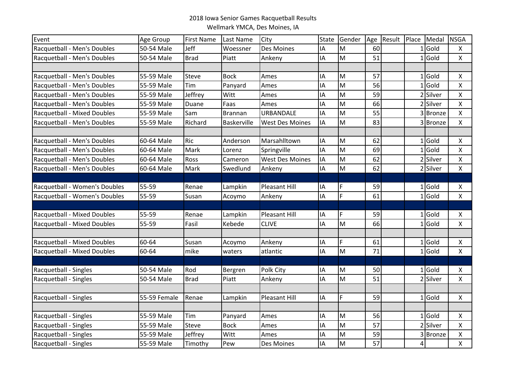## 2018 Iowa Senior Games Racquetball Results Wellmark YMCA, Des Moines, IA

| Event                         | Age Group    | <b>First Name</b> | Last Name   | City                   | <b>State</b> | Gender | Age | Result Place |                | Medal    | <b>NSGA</b>        |
|-------------------------------|--------------|-------------------|-------------|------------------------|--------------|--------|-----|--------------|----------------|----------|--------------------|
| Racquetball - Men's Doubles   | 50-54 Male   | Jeff              | Woessner    | Des Moines             | IA           | M      | 60  |              | 1              | Gold     | Χ                  |
| Racquetball - Men's Doubles   | 50-54 Male   | <b>Brad</b>       | Piatt       | Ankeny                 | IA           | M      | 51  |              |                | $1$ Gold | X                  |
|                               |              |                   |             |                        |              |        |     |              |                |          |                    |
| Racquetball - Men's Doubles   | 55-59 Male   | Steve             | <b>Bock</b> | Ames                   | IA           | M      | 57  |              | 1 <sup>1</sup> | Gold     | $\pmb{\mathsf{X}}$ |
| Racquetball - Men's Doubles   | 55-59 Male   | Tim               | Panyard     | Ames                   | ΙA           | M      | 56  |              | 1              | Gold     | Χ                  |
| Racquetball - Men's Doubles   | 55-59 Male   | Jeffrey           | Witt        | Ames                   | ΙA           | M      | 59  |              | $\overline{2}$ | Silver   | X                  |
| Racquetball - Men's Doubles   | 55-59 Male   | Duane             | Faas        | Ames                   | IA           | M      | 66  |              |                | 2 Silver | $\pmb{\mathsf{X}}$ |
| Racquetball - Mixed Doubles   | 55-59 Male   | Sam               | Brannan     | URBANDALE              | IA           | M      | 55  |              |                | 3 Bronze | X                  |
| Racquetball - Men's Doubles   | 55-59 Male   | Richard           | Baskerville | <b>West Des Moines</b> | IA           | M      | 83  |              |                | 3 Bronze | $\pmb{\mathsf{X}}$ |
|                               |              |                   |             |                        |              |        |     |              |                |          |                    |
| Racquetball - Men's Doubles   | 60-64 Male   | <b>Ric</b>        | Anderson    | Marsahlltown           | IA           | M      | 62  |              | 1 <sup>1</sup> | Gold     | Χ                  |
| Racquetball - Men's Doubles   | 60-64 Male   | Mark              | Lorenz      | Springville            | IA           | M      | 69  |              | 1              | Gold     | $\pmb{\mathsf{X}}$ |
| Racquetball - Men's Doubles   | 60-64 Male   | Ross              | Cameron     | <b>West Des Moines</b> | IA           | M      | 62  |              |                | 2 Silver | X                  |
| Racquetball - Men's Doubles   | 60-64 Male   | Mark              | Swedlund    | Ankeny                 | IA           | M      | 62  |              |                | 2 Silver | X                  |
|                               |              |                   |             |                        |              |        |     |              |                |          |                    |
| Racquetball - Women's Doubles | 55-59        | Renae             | Lampkin     | <b>Pleasant Hill</b>   | IA           | F      | 59  |              |                | $1$ Gold | Χ                  |
| Racquetball - Women's Doubles | 55-59        | Susan             | Acoymo      | Ankeny                 | IA           | F.     | 61  |              | $\mathbf{1}$   | Gold     | X                  |
|                               |              |                   |             |                        |              |        |     |              |                |          |                    |
| Racquetball - Mixed Doubles   | 55-59        | Renae             | Lampkin     | Pleasant Hill          | IA           | F      | 59  |              |                | $1$ Gold | Χ                  |
| Racquetball - Mixed Doubles   | 55-59        | Fasil             | Kebede      | <b>CLIVE</b>           | IA           | M      | 66  |              | 1              | Gold     | X                  |
| Racquetball - Mixed Doubles   | 60-64        |                   |             |                        |              | F      | 61  |              |                | $1$ Gold |                    |
|                               |              | Susan             | Acoymo      | Ankeny                 | IA           | M      |     |              |                |          | $\pmb{\mathsf{X}}$ |
| Racquetball - Mixed Doubles   | 60-64        | mike              | waters      | atlantic               | IA           |        | 71  |              | 1 <sup>1</sup> | Gold     | $\pmb{\mathsf{X}}$ |
| Racquetball - Singles         | 50-54 Male   | Rod               | Bergren     | Polk City              | IA           | M      | 50  |              |                | $1$ Gold | X                  |
| Racquetball - Singles         | 50-54 Male   | <b>Brad</b>       | Piatt       | Ankeny                 | IA           | M      | 51  |              | $\overline{2}$ | Silver   | X                  |
|                               |              |                   |             |                        |              |        |     |              |                |          |                    |
| Racquetball - Singles         | 55-59 Female | Renae             | Lampkin     | <b>Pleasant Hill</b>   | IA           | F.     | 59  |              |                | $1$ Gold | X                  |
|                               |              |                   |             |                        |              |        |     |              |                |          |                    |
| Racquetball - Singles         | 55-59 Male   | Tim               | Panyard     | Ames                   | IA           | M      | 56  |              |                | $1$ Gold | Χ                  |
| Racquetball - Singles         | 55-59 Male   | <b>Steve</b>      | <b>Bock</b> | Ames                   | ΙA           | M      | 57  |              | $\overline{2}$ | Silver   | X                  |
| Racquetball - Singles         | 55-59 Male   | Jeffrey           | Witt        | Ames                   | IA           | M      | 59  |              | 3              | Bronze   | Χ                  |
| Racquetball - Singles         | 55-59 Male   | Timothy           | Pew         | Des Moines             | IA           | M      | 57  |              | 4              |          | X                  |